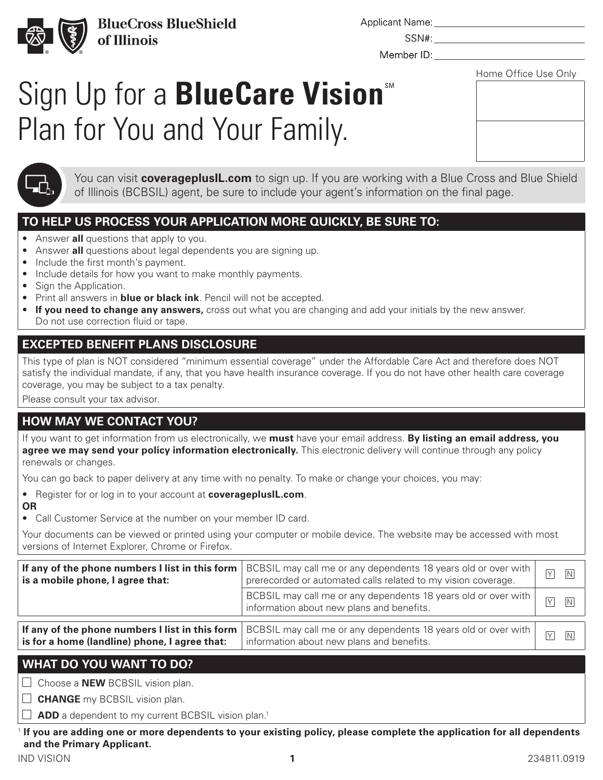

**BlueCross BlueShield** of Illinois

Applicant Name:

Member ID:

SSN#:

Home Office Use Only

# Sign Up for a **BlueCare Vision** Plan for You and Your Family.



You can visit **coverageplusIL.com** to sign up. If you are working with a Blue Cross and Blue Shield of Illinois (BCBSIL) agent, be sure to include your agent's information on the final page.

### **TO HELP US PROCESS YOUR APPLICATION MORE QUICKLY, BE SURE TO:**

- Answer **all** questions that apply to you.
- Answer **all** questions about legal dependents you are signing up.
- Include the first month's payment.
- Include details for how you want to make monthly payments.
- Sign the Application.
- Print all answers in **blue or black ink**. Pencil will not be accepted.
- **If you need to change any answers,** cross out what you are changing and add your initials by the new answer. Do not use correction fluid or tape.

### **EXCEPTED BENEFIT PLANS DISCLOSURE**

This type of plan is NOT considered "minimum essential coverage" under the Affordable Care Act and therefore does NOT satisfy the individual mandate, if any, that you have health insurance coverage. If you do not have other health care coverage coverage, you may be subject to a tax penalty.

Please consult your tax advisor.

## **HOW MAY WE CONTACT YOU?**

If you want to get information from us electronically, we **must** have your email address. **By listing an email address, you agree we may send your policy information electronically.** This electronic delivery will continue through any policy renewals or changes.

You can go back to paper delivery at any time with no penalty. To make or change your choices, you may:

- Register for or log in to your account at **coverageplusIL.com**.
- **OR**

• Call Customer Service at the number on your member ID card.

Your documents can be viewed or printed using your computer or mobile device. The website may be accessed with most versions of Internet Explorer, Chrome or Firefox.

| is a mobile phone, I agree that:              | If any of the phone numbers I list in this form   BCBSIL may call me or any dependents 18 years old or over with<br>prerecorded or automated calls related to my vision coverage. | $\overline{Y}$ | $\boxed{N}$    |
|-----------------------------------------------|-----------------------------------------------------------------------------------------------------------------------------------------------------------------------------------|----------------|----------------|
|                                               | BCBSIL may call me or any dependents 18 years old or over with<br>information about new plans and benefits.                                                                       | $\overline{Y}$ | $\overline{N}$ |
| is for a home (landline) phone, I agree that: | If any of the phone numbers I list in this form $ $ BCBSIL may call me or any dependents 18 years old or over with $ $<br>information about new plans and benefits.               | $\overline{Y}$ | $\overline{N}$ |

**is for a home (landline) phone, I agree that:**

### **WHAT DO YOU WANT TO DO?**

□ Choose a **NEW** BCBSIL vision plan.

**CHANGE** my BCBSIL vision plan.

 $\Box$  **ADD** a dependent to my current BCBSIL vision plan.<sup>1</sup>

<sup>1</sup> **If you are adding one or more dependents to your existing policy, please complete the application for all dependents and the Primary Applicant.**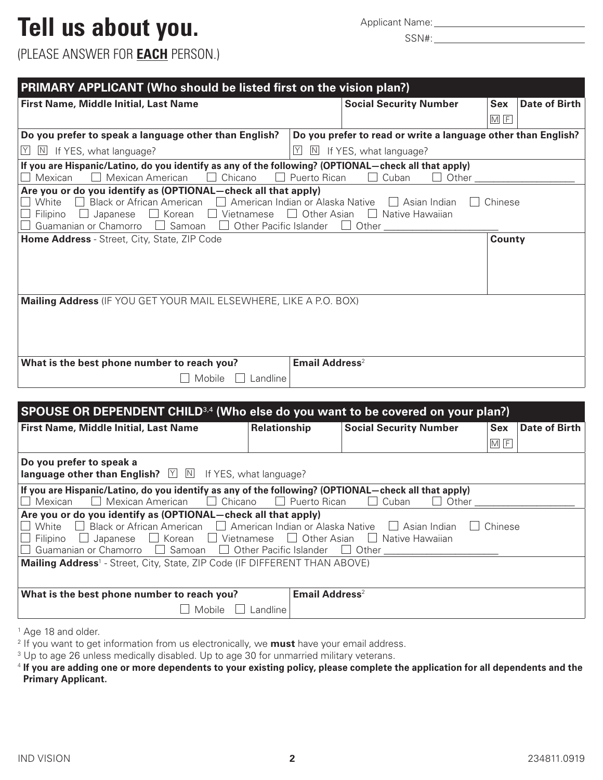## Tell us about you. Applicant Name: Applicant Name:

(PLEASE ANSWER FOR **EACH** PERSON.)

| PRIMARY APPLICANT (Who should be listed first on the vision plan?)                                                                                                                                                                                                                                                                                                           |                                  |  |                                                               |            |               |
|------------------------------------------------------------------------------------------------------------------------------------------------------------------------------------------------------------------------------------------------------------------------------------------------------------------------------------------------------------------------------|----------------------------------|--|---------------------------------------------------------------|------------|---------------|
| First Name, Middle Initial, Last Name                                                                                                                                                                                                                                                                                                                                        |                                  |  | <b>Social Security Number</b>                                 | <b>Sex</b> | Date of Birth |
|                                                                                                                                                                                                                                                                                                                                                                              |                                  |  |                                                               | $M$ F      |               |
| Do you prefer to speak a language other than English?                                                                                                                                                                                                                                                                                                                        |                                  |  | Do you prefer to read or write a language other than English? |            |               |
| $\mathbb N$ If YES, what language?<br>Y.                                                                                                                                                                                                                                                                                                                                     | Y <br>N                          |  | If YES, what language?                                        |            |               |
| If you are Hispanic/Latino, do you identify as any of the following? (OPTIONAL-check all that apply)<br>Mexican American<br>Chicano<br>Mexican                                                                                                                                                                                                                               | $\Box$ Puerto Rican              |  | Other<br>Cuban                                                |            |               |
| Are you or do you identify as (OPTIONAL—check all that apply)<br>Black or African American $\Box$ American Indian or Alaska Native<br>Chinese<br>White<br>$\Box$ Asian Indian<br>$\Box$ Korean<br>Other Asian<br>Native Hawaiian<br>Vietnamese<br>Filipino<br>Japanese<br>$\mathbf{1}$<br>Guamanian or Chamorro<br>Samoan<br>Other Pacific Islander<br>Other<br>$\mathbf{1}$ |                                  |  |                                                               |            |               |
| Home Address - Street, City, State, ZIP Code                                                                                                                                                                                                                                                                                                                                 |                                  |  |                                                               | County     |               |
| <b>Mailing Address</b> (IF YOU GET YOUR MAIL ELSEWHERE, LIKE A P.O. BOX)                                                                                                                                                                                                                                                                                                     |                                  |  |                                                               |            |               |
| What is the best phone number to reach you?                                                                                                                                                                                                                                                                                                                                  | <b>Email Address<sup>2</sup></b> |  |                                                               |            |               |
| Mobile<br>Landline                                                                                                                                                                                                                                                                                                                                                           |                                  |  |                                                               |            |               |

| SPOUSE OR DEPENDENT CHILD <sup>3,4</sup> (Who else do you want to be covered on your plan?)                                                                                                                                        |              |                            |                               |  |            |               |
|------------------------------------------------------------------------------------------------------------------------------------------------------------------------------------------------------------------------------------|--------------|----------------------------|-------------------------------|--|------------|---------------|
| First Name, Middle Initial, Last Name                                                                                                                                                                                              | Relationship |                            | <b>Social Security Number</b> |  | <b>Sex</b> | Date of Birth |
|                                                                                                                                                                                                                                    |              |                            |                               |  | M F        |               |
| Do you prefer to speak a<br><b>language other than English?</b> $\forall$ M If YES, what language?                                                                                                                                 |              |                            |                               |  |            |               |
| If you are Hispanic/Latino, do you identify as any of the following? (OPTIONAL—check all that apply)<br>Chicano<br>$\Box$ Puerto Rican<br>Mexican American<br>Mexican<br>Cuban<br>Other<br>$\mathbf{I}$<br>$\mathbf{J}=\mathbf{I}$ |              |                            |                               |  |            |               |
| Are you or do you identify as (OPTIONAL—check all that apply)                                                                                                                                                                      |              |                            |                               |  |            |               |
| Black or African American □ American Indian or Alaska Native<br>White                                                                                                                                                              |              |                            | Asian Indian                  |  | Chinese    |               |
| $\Box$ Japanese $\Box$ Korean $\Box$ Vietnamese $\Box$ Other Asian<br>Filipino<br>Native Hawaijan                                                                                                                                  |              |                            |                               |  |            |               |
| Guamanian or Chamorro □ Samoan<br>Other Pacific Islander<br>Other<br>$\perp$<br>$\Box$                                                                                                                                             |              |                            |                               |  |            |               |
| Mailing Address <sup>1</sup> - Street, City, State, ZIP Code (IF DIFFERENT THAN ABOVE)                                                                                                                                             |              |                            |                               |  |            |               |
|                                                                                                                                                                                                                                    |              |                            |                               |  |            |               |
| What is the best phone number to reach you?                                                                                                                                                                                        |              | Email Address <sup>2</sup> |                               |  |            |               |
| Mobile                                                                                                                                                                                                                             | Landline     |                            |                               |  |            |               |
|                                                                                                                                                                                                                                    |              |                            |                               |  |            |               |

<sup>1</sup> Age 18 and older.

<sup>2</sup> If you want to get information from us electronically, we **must** have your email address.

<sup>3</sup> Up to age 26 unless medically disabled. Up to age 30 for unmarried military veterans.

<sup>4</sup> If you are adding one or more dependents to your existing policy, please complete the application for all dependents and the **Primary Applicant.**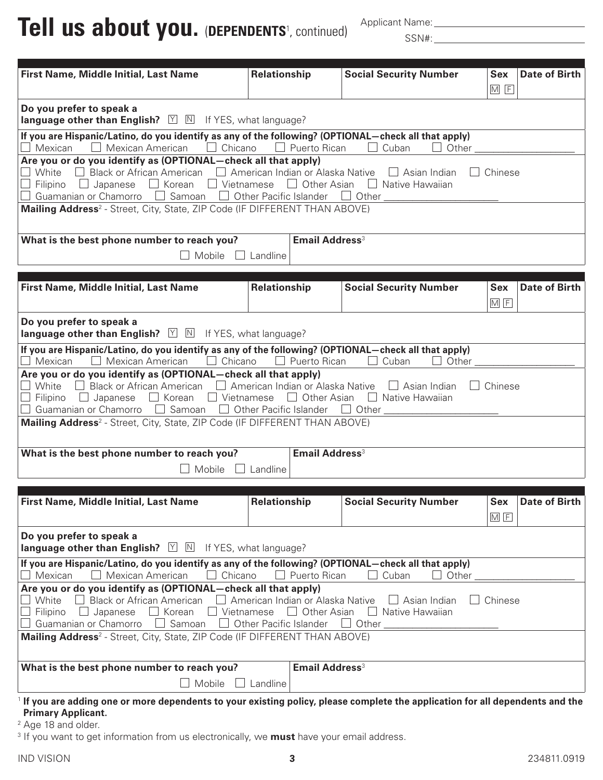**Tell us about you.** (**DEPENDENTS**<sup>1</sup> , continued)

Applicant Name:

SSN#: University of the set of the set of the set of the set of the set of the set of the set of the set of the set of the set of the set of the set of the set of the set of the set of the set of the set of the set of the

| First Name, Middle Initial, Last Name                                                                                                                                                                                                                                                                                                                                                                           | Relationship                     | <b>Social Security Number</b> | <b>Sex</b>          | <b>Date of Birth</b> |  |
|-----------------------------------------------------------------------------------------------------------------------------------------------------------------------------------------------------------------------------------------------------------------------------------------------------------------------------------------------------------------------------------------------------------------|----------------------------------|-------------------------------|---------------------|----------------------|--|
|                                                                                                                                                                                                                                                                                                                                                                                                                 |                                  |                               | M F                 |                      |  |
| Do you prefer to speak a<br>language other than English? $\boxed{\vee}$ $\boxed{\mathbb{N}}$ If YES, what language?                                                                                                                                                                                                                                                                                             |                                  |                               |                     |                      |  |
| If you are Hispanic/Latino, do you identify as any of the following? (OPTIONAL-check all that apply)<br>$\Box$ Mexican $\Box$ Mexican American $\Box$ Chicano $\Box$ Puerto Rican $\Box$ Cuban                                                                                                                                                                                                                  |                                  | $\Box$ Other                  |                     |                      |  |
| Are you or do you identify as (OPTIONAL-check all that apply)<br>Black or African American $\Box$ American Indian or Alaska Native $\Box$ Asian Indian<br>$\Box$ White<br>$\Box$<br>$\Box$ Chinese<br>$\Box$ Filipino $\Box$ Japanese $\Box$ Korean $\Box$ Vietnamese $\Box$ Other Asian $\Box$ Native Hawaiian<br>$\Box$ Guamanian or Chamorro $\Box$ Samoan $\Box$ Other Pacific Islander $\Box$ Other $\Box$ |                                  |                               |                     |                      |  |
| Mailing Address <sup>2</sup> - Street, City, State, ZIP Code (IF DIFFERENT THAN ABOVE)                                                                                                                                                                                                                                                                                                                          |                                  |                               |                     |                      |  |
| What is the best phone number to reach you?                                                                                                                                                                                                                                                                                                                                                                     | <b>Email Address<sup>3</sup></b> |                               |                     |                      |  |
| Mobile $\Box$ Landline                                                                                                                                                                                                                                                                                                                                                                                          |                                  |                               |                     |                      |  |
|                                                                                                                                                                                                                                                                                                                                                                                                                 |                                  |                               |                     |                      |  |
| First Name, Middle Initial, Last Name                                                                                                                                                                                                                                                                                                                                                                           | <b>Relationship</b>              | <b>Social Security Number</b> | <b>Sex</b><br>$M$ F | <b>Date of Birth</b> |  |
| Do you prefer to speak a<br><b>language other than English?</b> $\boxed{\vee}$ $\boxed{\mathbb{N}}$ If YES, what language?                                                                                                                                                                                                                                                                                      |                                  |                               |                     |                      |  |
| If you are Hispanic/Latino, do you identify as any of the following? (OPTIONAL-check all that apply)<br>Mexican $\Box$ Mexican American $\Box$ Chicano $\Box$ Puerto Rican $\Box$ Cuban                                                                                                                                                                                                                         |                                  | $\perp$<br>Other              |                     |                      |  |
| Are you or do you identify as (OPTIONAL-check all that apply)<br>Black or African American $\Box$ American Indian or Alaska Native $\Box$ Asian Indian<br>White<br>$\perp$<br>Filipino $\Box$ Japanese $\Box$ Korean $\Box$ Vietnamese $\Box$ Other Asian $\Box$ Native Hawaiian<br>Guamanian or Chamorro $\Box$ Samoan $\Box$ Other Pacific Islander $\Box$ Other $\Box$                                       |                                  |                               | $\Box$ Chinese      |                      |  |
| Mailing Address <sup>2</sup> - Street, City, State, ZIP Code (IF DIFFERENT THAN ABOVE)                                                                                                                                                                                                                                                                                                                          |                                  |                               |                     |                      |  |
| Email Address <sup>3</sup><br>What is the best phone number to reach you?                                                                                                                                                                                                                                                                                                                                       |                                  |                               |                     |                      |  |
| Mobile $\Box$<br>Landline                                                                                                                                                                                                                                                                                                                                                                                       |                                  |                               |                     |                      |  |
|                                                                                                                                                                                                                                                                                                                                                                                                                 |                                  |                               |                     |                      |  |
| First Name, Middle Initial, Last Name                                                                                                                                                                                                                                                                                                                                                                           | Relationship                     | <b>Social Security Number</b> | M F                 | Sex   Date of Birth  |  |
| Do you prefer to speak a<br><b>language other than English?</b> $\boxed{\times}$ M If YES, what language?                                                                                                                                                                                                                                                                                                       |                                  |                               |                     |                      |  |
| If you are Hispanic/Latino, do you identify as any of the following? (OPTIONAL-check all that apply)<br>Mexican<br>Mexican American<br>Chicano<br>Puerto Rican<br>Cuban<br>Other                                                                                                                                                                                                                                |                                  |                               |                     |                      |  |
| Are you or do you identify as (OPTIONAL-check all that apply)<br>American Indian or Alaska Native<br>$\Box$ Chinese<br>White<br><b>Black or African American</b><br>$\Box$ Asian Indian<br>Filipino<br>Korean<br>$\Box$ Vietnamese<br>$\Box$ Other Asian<br>$\Box$ Japanese<br>$\Box$ Native Hawaiian<br>Guamanian or Chamorro<br>$\Box$ Samoan<br>Other Pacific Islander<br>Other_                             |                                  |                               |                     |                      |  |
| Mailing Address <sup>2</sup> - Street, City, State, ZIP Code (IF DIFFERENT THAN ABOVE)                                                                                                                                                                                                                                                                                                                          |                                  |                               |                     |                      |  |
| What is the best phone number to reach you?                                                                                                                                                                                                                                                                                                                                                                     | <b>Email Address<sup>3</sup></b> |                               |                     |                      |  |
| Mobile                                                                                                                                                                                                                                                                                                                                                                                                          | Landline                         |                               |                     |                      |  |
| <sup>1</sup> If you are adding one or more dependents to your existing policy, please complete the application for all dependents and the                                                                                                                                                                                                                                                                       |                                  |                               |                     |                      |  |

- **Primary Applicant.**
- <sup>2</sup> Age 18 and older.
- <sup>3</sup> If you want to get information from us electronically, we **must** have your email address.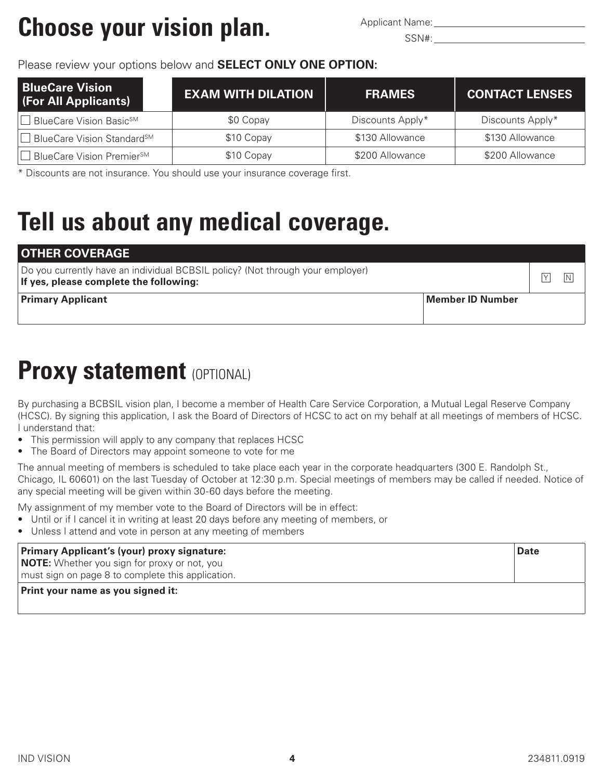## **Choose your vision plan.** Applicant Name:

#### Please review your options below and **SELECT ONLY ONE OPTION:**

| <b>BlueCare Vision</b><br>(For All Applicants) | <b>EXAM WITH DILATION</b> | <b>FRAMES</b>    | <b>CONTACT LENSES</b> |
|------------------------------------------------|---------------------------|------------------|-----------------------|
| □ BlueCare Vision Basic <sup>SM</sup>          | \$0 Copay                 | Discounts Apply* | Discounts Apply*      |
| BlueCare Vision Standard <sup>sM</sup>         | \$10 Copay                | \$130 Allowance  | \$130 Allowance       |
| BlueCare Vision Premier <sup>sM</sup>          | \$10 Copay                | \$200 Allowance  | \$200 Allowance       |

\* Discounts are not insurance. You should use your insurance coverage first.

## **Tell us about any medical coverage.**

| <b>OTHER COVERAGE</b>                                                                                                    |              |
|--------------------------------------------------------------------------------------------------------------------------|--------------|
| Do you currently have an individual BCBSIL policy? (Not through your employer)<br>If yes, please complete the following: | $\vee$<br>ΙN |
| <b>Primary Applicant</b><br>Member ID Number                                                                             |              |

## **Proxy statement (OPTIONAL)**

By purchasing a BCBSIL vision plan, I become a member of Health Care Service Corporation, a Mutual Legal Reserve Company (HCSC). By signing this application, I ask the Board of Directors of HCSC to act on my behalf at all meetings of members of HCSC. I understand that:

- This permission will apply to any company that replaces HCSC
- The Board of Directors may appoint someone to vote for me

The annual meeting of members is scheduled to take place each year in the corporate headquarters (300 E. Randolph St., Chicago, IL 60601) on the last Tuesday of October at 12:30 p.m. Special meetings of members may be called if needed. Notice of any special meeting will be given within 30-60 days before the meeting.

My assignment of my member vote to the Board of Directors will be in effect:

- Until or if I cancel it in writing at least 20 days before any meeting of members, or
- Unless I attend and vote in person at any meeting of members

| Primary Applicant's (your) proxy signature:                                                              | <b>Date</b> |
|----------------------------------------------------------------------------------------------------------|-------------|
| <b>NOTE:</b> Whether you sign for proxy or not, you<br>must sign on page 8 to complete this application. |             |
| <b>Print your name as you signed it:</b>                                                                 |             |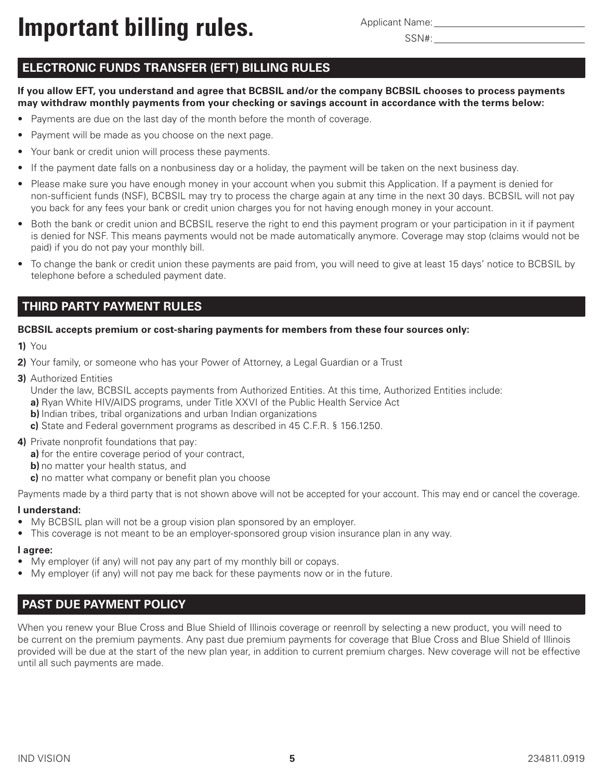**Important billing rules.** Applicant Name:

Applicant Name:

### **ELECTRONIC FUNDS TRANSFER (EFT) BILLING RULES**

**If you allow EFT, you understand and agree that BCBSIL and/or the company BCBSIL chooses to process payments may withdraw monthly payments from your checking or savings account in accordance with the terms below:**

- Payments are due on the last day of the month before the month of coverage.
- Payment will be made as you choose on the next page.
- Your bank or credit union will process these payments.
- If the payment date falls on a nonbusiness day or a holiday, the payment will be taken on the next business day.
- Please make sure you have enough money in your account when you submit this Application. If a payment is denied for non-sufficient funds (NSF), BCBSIL may try to process the charge again at any time in the next 30 days. BCBSIL will not pay you back for any fees your bank or credit union charges you for not having enough money in your account.
- Both the bank or credit union and BCBSIL reserve the right to end this payment program or your participation in it if payment is denied for NSF. This means payments would not be made automatically anymore. Coverage may stop (claims would not be paid) if you do not pay your monthly bill.
- To change the bank or credit union these payments are paid from, you will need to give at least 15 days' notice to BCBSIL by telephone before a scheduled payment date.

#### **THIRD PARTY PAYMENT RULES**

#### **BCBSIL accepts premium or cost-sharing payments for members from these four sources only:**

- **1)** You
- **2)** Your family, or someone who has your Power of Attorney, a Legal Guardian or a Trust
- **3)** Authorized Entities

Under the law, BCBSIL accepts payments from Authorized Entities. At this time, Authorized Entities include:

**a)** Ryan White HIV/AIDS programs, under Title XXVI of the Public Health Service Act

- **b)** Indian tribes, tribal organizations and urban Indian organizations
- **c)** State and Federal government programs as described in 45 C.F.R. § 156.1250.
- **4)** Private nonprofit foundations that pay:
	- **a)** for the entire coverage period of your contract,
	- **b)** no matter your health status, and
	- **c)** no matter what company or benefit plan you choose

Payments made by a third party that is not shown above will not be accepted for your account. This may end or cancel the coverage.

#### **I understand:**

- My BCBSIL plan will not be a group vision plan sponsored by an employer.
- This coverage is not meant to be an employer-sponsored group vision insurance plan in any way.

#### **I agree:**

- My employer (if any) will not pay any part of my monthly bill or copays.
- My employer (if any) will not pay me back for these payments now or in the future.

#### **PAST DUE PAYMENT POLICY**

When you renew your Blue Cross and Blue Shield of Illinois coverage or reenroll by selecting a new product, you will need to be current on the premium payments. Any past due premium payments for coverage that Blue Cross and Blue Shield of Illinois provided will be due at the start of the new plan year, in addition to current premium charges. New coverage will not be effective until all such payments are made.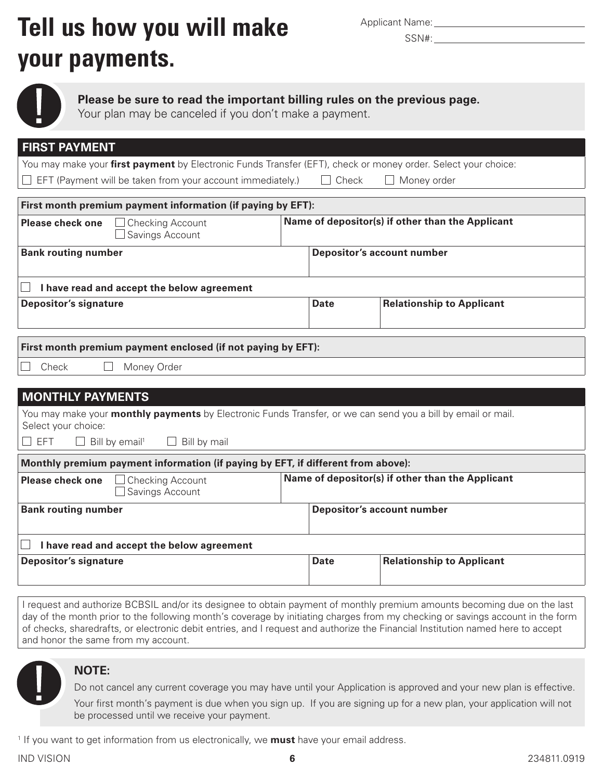## **Tell us how you will make** Applicant Name: **your payments.**

|  | <b>Applicant Name:</b> |
|--|------------------------|



**Please be sure to read the important billing rules on the previous page.**

Your plan may be canceled if you don't make a payment.

| <b>FIRST PAYMENT</b>                                                                                                                |                                                  |              |                                   |
|-------------------------------------------------------------------------------------------------------------------------------------|--------------------------------------------------|--------------|-----------------------------------|
| You may make your first payment by Electronic Funds Transfer (EFT), check or money order. Select your choice:                       |                                                  |              |                                   |
| EFT (Payment will be taken from your account immediately.)                                                                          |                                                  | $\Box$ Check | $\Box$ Money order                |
|                                                                                                                                     |                                                  |              |                                   |
| First month premium payment information (if paying by EFT):                                                                         |                                                  |              |                                   |
| <b>Please check one</b><br>Checking Account<br>Savings Account                                                                      | Name of depositor(s) if other than the Applicant |              |                                   |
| <b>Bank routing number</b>                                                                                                          |                                                  |              | <b>Depositor's account number</b> |
| I have read and accept the below agreement                                                                                          |                                                  |              |                                   |
| <b>Depositor's signature</b>                                                                                                        |                                                  | <b>Date</b>  | <b>Relationship to Applicant</b>  |
|                                                                                                                                     |                                                  |              |                                   |
| First month premium payment enclosed (if not paying by EFT):                                                                        |                                                  |              |                                   |
| Check<br>Money Order                                                                                                                |                                                  |              |                                   |
|                                                                                                                                     |                                                  |              |                                   |
| <b>MONTHLY PAYMENTS</b>                                                                                                             |                                                  |              |                                   |
| You may make your monthly payments by Electronic Funds Transfer, or we can send you a bill by email or mail.<br>Select your choice: |                                                  |              |                                   |
| $\Box$ EFT<br>$\Box$ Bill by email <sup>1</sup><br>Bill by mail                                                                     |                                                  |              |                                   |
| Monthly premium payment information (if paying by EFT, if different from above):                                                    |                                                  |              |                                   |
| Name of depositor(s) if other than the Applicant<br><b>Checking Account</b><br><b>Please check one</b><br>Savings Account           |                                                  |              |                                   |
| <b>Bank routing number</b><br><b>Depositor's account number</b>                                                                     |                                                  |              |                                   |
| I have read and accept the below agreement                                                                                          |                                                  |              |                                   |
| <b>Depositor's signature</b>                                                                                                        |                                                  | <b>Date</b>  | <b>Relationship to Applicant</b>  |
|                                                                                                                                     |                                                  |              |                                   |

I request and authorize BCBSIL and/or its designee to obtain payment of monthly premium amounts becoming due on the last day of the month prior to the following month's coverage by initiating charges from my checking or savings account in the form of checks, sharedrafts, or electronic debit entries, and I request and authorize the Financial Institution named here to accept and honor the same from my account.



#### **NOTE:**

Do not cancel any current coverage you may have until your Application is approved and your new plan is effective.

Your first month's payment is due when you sign up. If you are signing up for a new plan, your application will not be processed until we receive your payment.

<sup>1</sup> If you want to get information from us electronically, we **must** have your email address.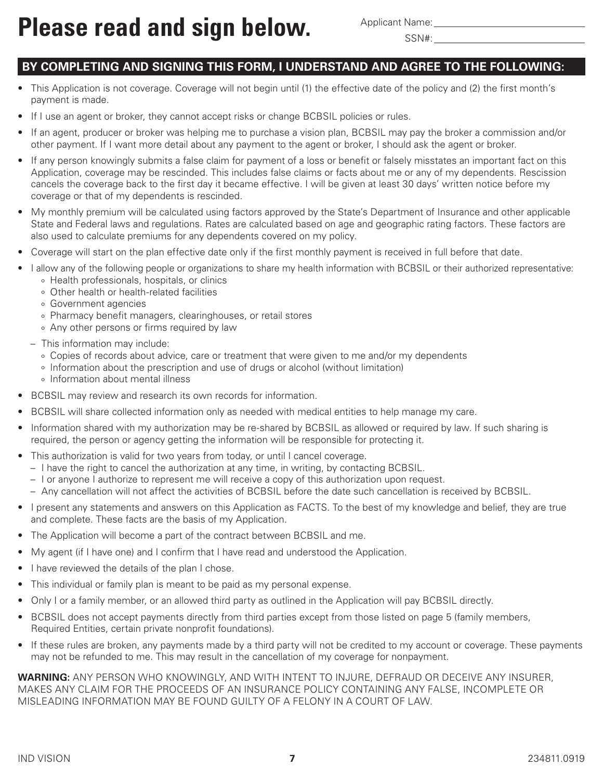### **BY COMPLETING AND SIGNING THIS FORM, I UNDERSTAND AND AGREE TO THE FOLLOWING:**

- This Application is not coverage. Coverage will not begin until (1) the effective date of the policy and (2) the first month's payment is made.
- If I use an agent or broker, they cannot accept risks or change BCBSIL policies or rules.
- If an agent, producer or broker was helping me to purchase a vision plan, BCBSIL may pay the broker a commission and/or other payment. If I want more detail about any payment to the agent or broker, I should ask the agent or broker.
- If any person knowingly submits a false claim for payment of a loss or benefit or falsely misstates an important fact on this Application, coverage may be rescinded. This includes false claims or facts about me or any of my dependents. Rescission cancels the coverage back to the first day it became effective. I will be given at least 30 days' written notice before my coverage or that of my dependents is rescinded.
- My monthly premium will be calculated using factors approved by the State's Department of Insurance and other applicable State and Federal laws and regulations. Rates are calculated based on age and geographic rating factors. These factors are also used to calculate premiums for any dependents covered on my policy.
- Coverage will start on the plan effective date only if the first monthly payment is received in full before that date.
- I allow any of the following people or organizations to share my health information with BCBSIL or their authorized representative:
	- o Health professionals, hospitals, or clinics
	- o Other health or health-related facilities
	- o Government agencies
	- o Pharmacy benefit managers, clearinghouses, or retail stores
	- o Any other persons or firms required by law
	- This information may include:
		- o Copies of records about advice, care or treatment that were given to me and/or my dependents
		- o Information about the prescription and use of drugs or alcohol (without limitation)
		- o Information about mental illness
- BCBSIL may review and research its own records for information.
- BCBSIL will share collected information only as needed with medical entities to help manage my care.
- Information shared with my authorization may be re-shared by BCBSIL as allowed or required by law. If such sharing is required, the person or agency getting the information will be responsible for protecting it.
- This authorization is valid for two years from today, or until I cancel coverage.
	- I have the right to cancel the authorization at any time, in writing, by contacting BCBSIL.
	- I or anyone I authorize to represent me will receive a copy of this authorization upon request.
	- Any cancellation will not affect the activities of BCBSIL before the date such cancellation is received by BCBSIL.
- I present any statements and answers on this Application as FACTS. To the best of my knowledge and belief, they are true and complete. These facts are the basis of my Application.
- The Application will become a part of the contract between BCBSIL and me.
- My agent (if I have one) and I confirm that I have read and understood the Application.
- I have reviewed the details of the plan I chose.
- This individual or family plan is meant to be paid as my personal expense.
- Only I or a family member, or an allowed third party as outlined in the Application will pay BCBSIL directly.
- BCBSIL does not accept payments directly from third parties except from those listed on page 5 (family members, Required Entities, certain private nonprofit foundations).
- If these rules are broken, any payments made by a third party will not be credited to my account or coverage. These payments may not be refunded to me. This may result in the cancellation of my coverage for nonpayment.

**WARNING:** ANY PERSON WHO KNOWINGLY, AND WITH INTENT TO INJURE, DEFRAUD OR DECEIVE ANY INSURER, MAKES ANY CLAIM FOR THE PROCEEDS OF AN INSURANCE POLICY CONTAINING ANY FALSE, INCOMPLETE OR MISLEADING INFORMATION MAY BE FOUND GUILTY OF A FELONY IN A COURT OF LAW.